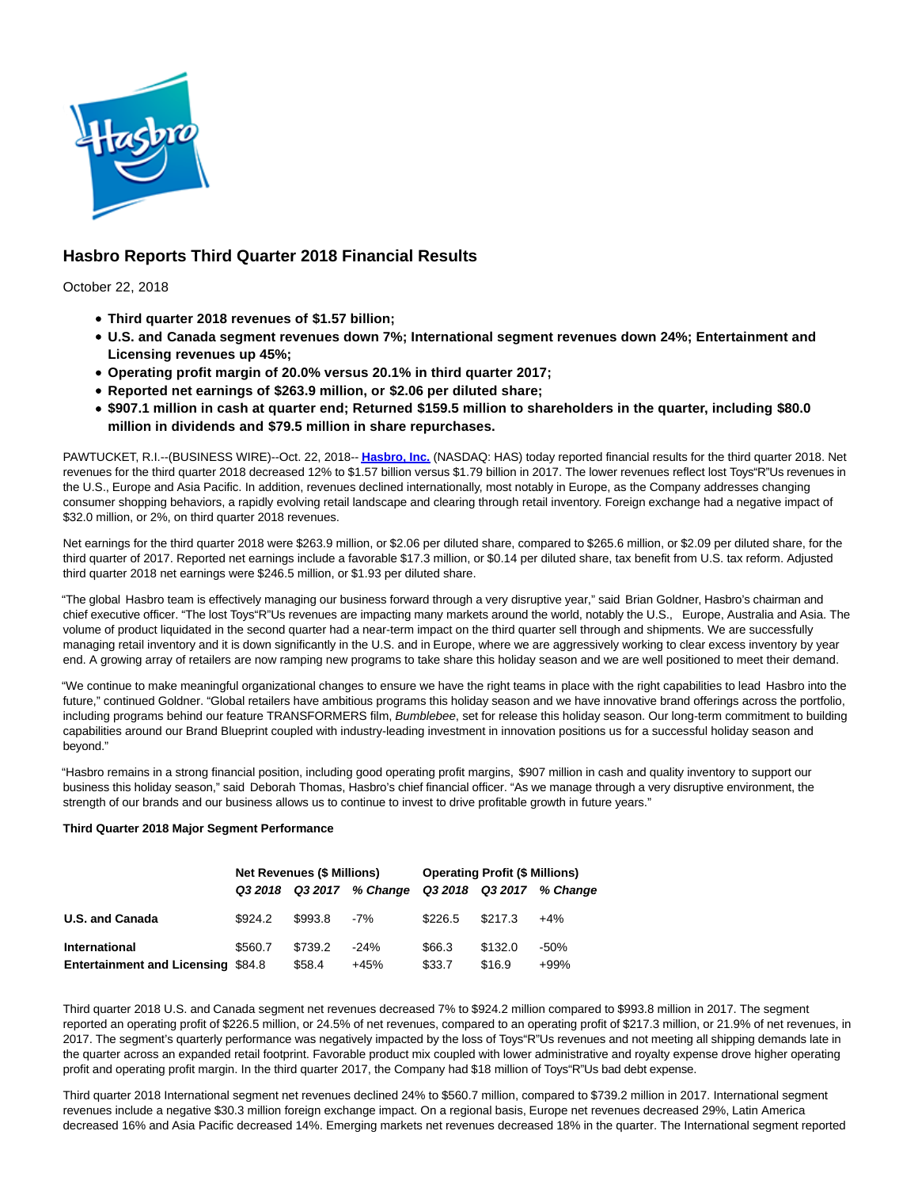

# **Hasbro Reports Third Quarter 2018 Financial Results**

October 22, 2018

- **Third quarter 2018 revenues of \$1.57 billion;**
- **U.S. and Canada segment revenues down 7%; International segment revenues down 24%; Entertainment and Licensing revenues up 45%;**
- **Operating profit margin of 20.0% versus 20.1% in third quarter 2017;**
- **Reported net earnings of \$263.9 million, or \$2.06 per diluted share;**
- **\$907.1 million in cash at quarter end; Returned \$159.5 million to shareholders in the quarter, including \$80.0 million in dividends and \$79.5 million in share repurchases.**

PAWTUCKET, R.I.--(BUSINESS WIRE)--Oct. 22, 2018-- **[Hasbro, Inc.](http://cts.businesswire.com/ct/CT?id=smartlink&url=http%3A%2F%2Fwww.hasbro.com%2F&esheet=51885912&newsitemid=20181022005406&lan=en-US&anchor=Hasbro%2C+Inc.&index=1&md5=dd916bc48702f5e518a4e24d68fcd118)** (NASDAQ: HAS) today reported financial results for the third quarter 2018. Net revenues for the third quarter 2018 decreased 12% to \$1.57 billion versus \$1.79 billion in 2017. The lower revenues reflect lost Toys"R"Us revenues in the U.S., Europe and Asia Pacific. In addition, revenues declined internationally, most notably in Europe, as the Company addresses changing consumer shopping behaviors, a rapidly evolving retail landscape and clearing through retail inventory. Foreign exchange had a negative impact of \$32.0 million, or 2%, on third quarter 2018 revenues.

Net earnings for the third quarter 2018 were \$263.9 million, or \$2.06 per diluted share, compared to \$265.6 million, or \$2.09 per diluted share, for the third quarter of 2017. Reported net earnings include a favorable \$17.3 million, or \$0.14 per diluted share, tax benefit from U.S. tax reform. Adjusted third quarter 2018 net earnings were \$246.5 million, or \$1.93 per diluted share.

"The global Hasbro team is effectively managing our business forward through a very disruptive year," said Brian Goldner, Hasbro's chairman and chief executive officer. "The lost Toys"R"Us revenues are impacting many markets around the world, notably the U.S., Europe, Australia and Asia. The volume of product liquidated in the second quarter had a near-term impact on the third quarter sell through and shipments. We are successfully managing retail inventory and it is down significantly in the U.S. and in Europe, where we are aggressively working to clear excess inventory by year end. A growing array of retailers are now ramping new programs to take share this holiday season and we are well positioned to meet their demand.

"We continue to make meaningful organizational changes to ensure we have the right teams in place with the right capabilities to lead Hasbro into the future," continued Goldner. "Global retailers have ambitious programs this holiday season and we have innovative brand offerings across the portfolio, including programs behind our feature TRANSFORMERS film, Bumblebee, set for release this holiday season. Our long-term commitment to building capabilities around our Brand Blueprint coupled with industry-leading investment in innovation positions us for a successful holiday season and beyond."

"Hasbro remains in a strong financial position, including good operating profit margins, \$907 million in cash and quality inventory to support our business this holiday season," said Deborah Thomas, Hasbro's chief financial officer. "As we manage through a very disruptive environment, the strength of our brands and our business allows us to continue to invest to drive profitable growth in future years."

### **Third Quarter 2018 Major Segment Performance**

|                                           |         | <b>Net Revenues (\$ Millions)</b> |                          | <b>Operating Profit (\$ Millions)</b> |         |                          |  |
|-------------------------------------------|---------|-----------------------------------|--------------------------|---------------------------------------|---------|--------------------------|--|
|                                           |         |                                   | Q3 2018 Q3 2017 % Change |                                       |         | Q3 2018 Q3 2017 % Change |  |
| <b>U.S. and Canada</b>                    | \$924.2 | \$993.8                           | -7%                      | \$226.5                               | \$217.3 | $+4%$                    |  |
| International                             | \$560.7 | \$739.2                           | $-24%$                   | \$66.3                                | \$132.0 | $-50\%$                  |  |
| <b>Entertainment and Licensing \$84.8</b> |         | \$58.4                            | $+45%$                   | \$33.7                                | \$16.9  | $+99%$                   |  |

Third quarter 2018 U.S. and Canada segment net revenues decreased 7% to \$924.2 million compared to \$993.8 million in 2017. The segment reported an operating profit of \$226.5 million, or 24.5% of net revenues, compared to an operating profit of \$217.3 million, or 21.9% of net revenues, in 2017. The segment's quarterly performance was negatively impacted by the loss of Toys"R"Us revenues and not meeting all shipping demands late in the quarter across an expanded retail footprint. Favorable product mix coupled with lower administrative and royalty expense drove higher operating profit and operating profit margin. In the third quarter 2017, the Company had \$18 million of Toys"R"Us bad debt expense.

Third quarter 2018 International segment net revenues declined 24% to \$560.7 million, compared to \$739.2 million in 2017. International segment revenues include a negative \$30.3 million foreign exchange impact. On a regional basis, Europe net revenues decreased 29%, Latin America decreased 16% and Asia Pacific decreased 14%. Emerging markets net revenues decreased 18% in the quarter. The International segment reported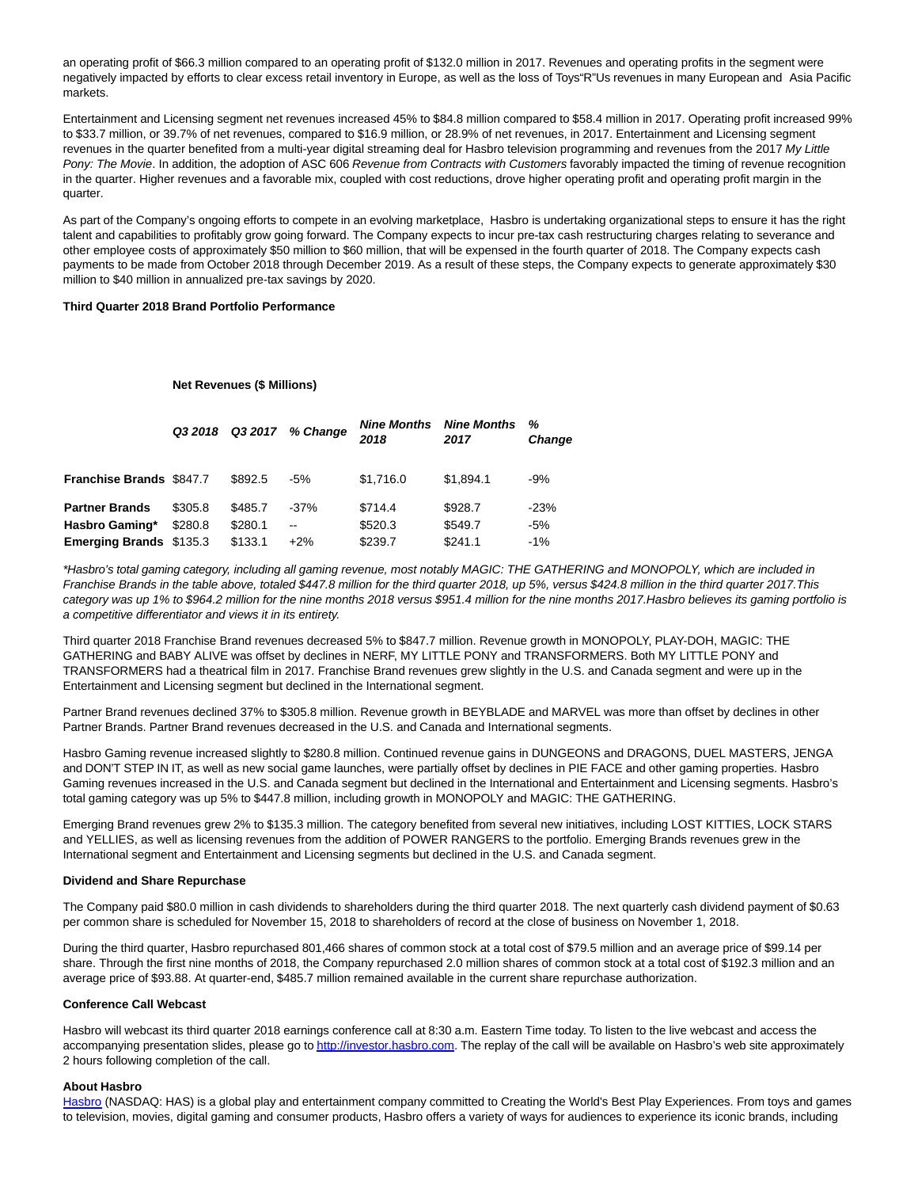an operating profit of \$66.3 million compared to an operating profit of \$132.0 million in 2017. Revenues and operating profits in the segment were negatively impacted by efforts to clear excess retail inventory in Europe, as well as the loss of Toys"R"Us revenues in many European and Asia Pacific markets.

Entertainment and Licensing segment net revenues increased 45% to \$84.8 million compared to \$58.4 million in 2017. Operating profit increased 99% to \$33.7 million, or 39.7% of net revenues, compared to \$16.9 million, or 28.9% of net revenues, in 2017. Entertainment and Licensing segment revenues in the quarter benefited from a multi-year digital streaming deal for Hasbro television programming and revenues from the 2017 My Little Pony: The Movie. In addition, the adoption of ASC 606 Revenue from Contracts with Customers favorably impacted the timing of revenue recognition in the quarter. Higher revenues and a favorable mix, coupled with cost reductions, drove higher operating profit and operating profit margin in the quarter.

As part of the Company's ongoing efforts to compete in an evolving marketplace, Hasbro is undertaking organizational steps to ensure it has the right talent and capabilities to profitably grow going forward. The Company expects to incur pre-tax cash restructuring charges relating to severance and other employee costs of approximately \$50 million to \$60 million, that will be expensed in the fourth quarter of 2018. The Company expects cash payments to be made from October 2018 through December 2019. As a result of these steps, the Company expects to generate approximately \$30 million to \$40 million in annualized pre-tax savings by 2020.

### **Third Quarter 2018 Brand Portfolio Performance**

#### **Net Revenues (\$ Millions)**

|                                 | Q3 2018 | Q3 2017 | % Change | <b>Nine Months</b><br>2018 | <b>Nine Months</b><br>2017 | %<br>Change |
|---------------------------------|---------|---------|----------|----------------------------|----------------------------|-------------|
| <b>Franchise Brands \$847.7</b> |         | \$892.5 | $-5%$    | \$1.716.0                  | \$1,894.1                  | -9%         |
| <b>Partner Brands</b>           | \$305.8 | \$485.7 | $-37%$   | \$714.4                    | \$928.7                    | $-23%$      |
| Hasbro Gaming*                  | \$280.8 | \$280.1 | $- -$    | \$520.3                    | \$549.7                    | -5%         |
| <b>Emerging Brands \$135.3</b>  |         | \$133.1 | $+2\%$   | \$239.7                    | \$241.1                    | $-1\%$      |
|                                 |         |         |          |                            |                            |             |

\*Hasbro's total gaming category, including all gaming revenue, most notably MAGIC: THE GATHERING and MONOPOLY, which are included in Franchise Brands in the table above, totaled \$447.8 million for the third quarter 2018, up 5%, versus \$424.8 million in the third quarter 2017.This category was up 1% to \$964.2 million for the nine months 2018 versus \$951.4 million for the nine months 2017.Hasbro believes its gaming portfolio is a competitive differentiator and views it in its entirety.

Third quarter 2018 Franchise Brand revenues decreased 5% to \$847.7 million. Revenue growth in MONOPOLY, PLAY-DOH, MAGIC: THE GATHERING and BABY ALIVE was offset by declines in NERF, MY LITTLE PONY and TRANSFORMERS. Both MY LITTLE PONY and TRANSFORMERS had a theatrical film in 2017. Franchise Brand revenues grew slightly in the U.S. and Canada segment and were up in the Entertainment and Licensing segment but declined in the International segment.

Partner Brand revenues declined 37% to \$305.8 million. Revenue growth in BEYBLADE and MARVEL was more than offset by declines in other Partner Brands. Partner Brand revenues decreased in the U.S. and Canada and International segments.

Hasbro Gaming revenue increased slightly to \$280.8 million. Continued revenue gains in DUNGEONS and DRAGONS, DUEL MASTERS, JENGA and DON'T STEP IN IT, as well as new social game launches, were partially offset by declines in PIE FACE and other gaming properties. Hasbro Gaming revenues increased in the U.S. and Canada segment but declined in the International and Entertainment and Licensing segments. Hasbro's total gaming category was up 5% to \$447.8 million, including growth in MONOPOLY and MAGIC: THE GATHERING.

Emerging Brand revenues grew 2% to \$135.3 million. The category benefited from several new initiatives, including LOST KITTIES, LOCK STARS and YELLIES, as well as licensing revenues from the addition of POWER RANGERS to the portfolio. Emerging Brands revenues grew in the International segment and Entertainment and Licensing segments but declined in the U.S. and Canada segment.

#### **Dividend and Share Repurchase**

The Company paid \$80.0 million in cash dividends to shareholders during the third quarter 2018. The next quarterly cash dividend payment of \$0.63 per common share is scheduled for November 15, 2018 to shareholders of record at the close of business on November 1, 2018.

During the third quarter, Hasbro repurchased 801,466 shares of common stock at a total cost of \$79.5 million and an average price of \$99.14 per share. Through the first nine months of 2018, the Company repurchased 2.0 million shares of common stock at a total cost of \$192.3 million and an average price of \$93.88. At quarter-end, \$485.7 million remained available in the current share repurchase authorization.

#### **Conference Call Webcast**

Hasbro will webcast its third quarter 2018 earnings conference call at 8:30 a.m. Eastern Time today. To listen to the live webcast and access the accompanying presentation slides, please go t[o http://investor.hasbro.com.](http://cts.businesswire.com/ct/CT?id=smartlink&url=http%3A%2F%2Finvestor.hasbro.com&esheet=51885912&newsitemid=20181022005406&lan=en-US&anchor=http%3A%2F%2Finvestor.hasbro.com&index=2&md5=c339a66624a72a1da11c0a1d8a9fd00a) The replay of the call will be available on Hasbro's web site approximately 2 hours following completion of the call.

#### **About Hasbro**

[Hasbro \(](http://cts.businesswire.com/ct/CT?id=smartlink&url=https%3A%2F%2Fshop.hasbro.com%2Fen-us&esheet=51885912&newsitemid=20181022005406&lan=en-US&anchor=Hasbro&index=3&md5=8ae4ee64ba4cfb3c51e6452fdd880747)NASDAQ: HAS) is a global play and entertainment company committed to Creating the World's Best Play Experiences. From toys and games to television, movies, digital gaming and consumer products, Hasbro offers a variety of ways for audiences to experience its iconic brands, including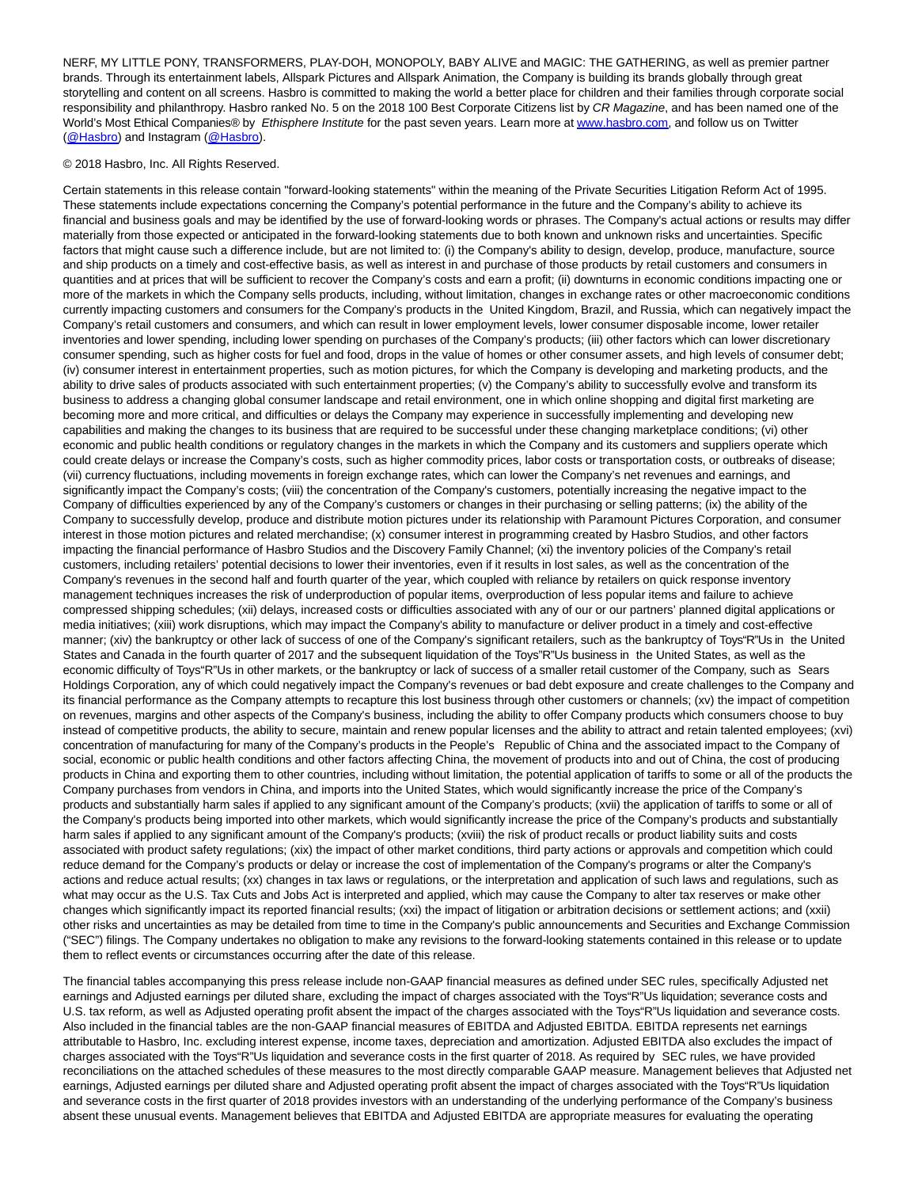NERF, MY LITTLE PONY, TRANSFORMERS, PLAY-DOH, MONOPOLY, BABY ALIVE and MAGIC: THE GATHERING, as well as premier partner brands. Through its entertainment labels, Allspark Pictures and Allspark Animation, the Company is building its brands globally through great storytelling and content on all screens. Hasbro is committed to making the world a better place for children and their families through corporate social responsibility and philanthropy. Hasbro ranked No. 5 on the 2018 100 Best Corporate Citizens list by CR Magazine, and has been named one of the World's Most Ethical Companies® by Ethisphere Institute for the past seven years. Learn more at [www.hasbro.com,](http://cts.businesswire.com/ct/CT?id=smartlink&url=https%3A%2F%2Fshop.hasbro.com%2Fen-us&esheet=51885912&newsitemid=20181022005406&lan=en-US&anchor=www.hasbro.com&index=4&md5=a12e459881251a8b3600d273c2c09d45) and follow us on Twitter [\(@Hasbro\)](http://cts.businesswire.com/ct/CT?id=smartlink&url=https%3A%2F%2Ftwitter.com%2Fhasbro%3Flang%3Den&esheet=51885912&newsitemid=20181022005406&lan=en-US&anchor=%40Hasbro&index=5&md5=8daa1c5c4f7effb7350e953e69726bcf) and Instagram [\(@Hasbro\).](http://cts.businesswire.com/ct/CT?id=smartlink&url=https%3A%2F%2Finstagram.com%2Fhasbro%2F%3Fhl%3Den&esheet=51885912&newsitemid=20181022005406&lan=en-US&anchor=%40Hasbro&index=6&md5=0a649bd4ec33a1a495c2717ddcebf146)

© 2018 Hasbro, Inc. All Rights Reserved.

Certain statements in this release contain "forward-looking statements" within the meaning of the Private Securities Litigation Reform Act of 1995. These statements include expectations concerning the Company's potential performance in the future and the Company's ability to achieve its financial and business goals and may be identified by the use of forward-looking words or phrases. The Company's actual actions or results may differ materially from those expected or anticipated in the forward-looking statements due to both known and unknown risks and uncertainties. Specific factors that might cause such a difference include, but are not limited to: (i) the Company's ability to design, develop, produce, manufacture, source and ship products on a timely and cost-effective basis, as well as interest in and purchase of those products by retail customers and consumers in quantities and at prices that will be sufficient to recover the Company's costs and earn a profit; (ii) downturns in economic conditions impacting one or more of the markets in which the Company sells products, including, without limitation, changes in exchange rates or other macroeconomic conditions currently impacting customers and consumers for the Company's products in the United Kingdom, Brazil, and Russia, which can negatively impact the Company's retail customers and consumers, and which can result in lower employment levels, lower consumer disposable income, lower retailer inventories and lower spending, including lower spending on purchases of the Company's products; (iii) other factors which can lower discretionary consumer spending, such as higher costs for fuel and food, drops in the value of homes or other consumer assets, and high levels of consumer debt; (iv) consumer interest in entertainment properties, such as motion pictures, for which the Company is developing and marketing products, and the ability to drive sales of products associated with such entertainment properties; (v) the Company's ability to successfully evolve and transform its business to address a changing global consumer landscape and retail environment, one in which online shopping and digital first marketing are becoming more and more critical, and difficulties or delays the Company may experience in successfully implementing and developing new capabilities and making the changes to its business that are required to be successful under these changing marketplace conditions; (vi) other economic and public health conditions or regulatory changes in the markets in which the Company and its customers and suppliers operate which could create delays or increase the Company's costs, such as higher commodity prices, labor costs or transportation costs, or outbreaks of disease; (vii) currency fluctuations, including movements in foreign exchange rates, which can lower the Company's net revenues and earnings, and significantly impact the Company's costs; (viii) the concentration of the Company's customers, potentially increasing the negative impact to the Company of difficulties experienced by any of the Company's customers or changes in their purchasing or selling patterns; (ix) the ability of the Company to successfully develop, produce and distribute motion pictures under its relationship with Paramount Pictures Corporation, and consumer interest in those motion pictures and related merchandise; (x) consumer interest in programming created by Hasbro Studios, and other factors impacting the financial performance of Hasbro Studios and the Discovery Family Channel; (xi) the inventory policies of the Company's retail customers, including retailers' potential decisions to lower their inventories, even if it results in lost sales, as well as the concentration of the Company's revenues in the second half and fourth quarter of the year, which coupled with reliance by retailers on quick response inventory management techniques increases the risk of underproduction of popular items, overproduction of less popular items and failure to achieve compressed shipping schedules; (xii) delays, increased costs or difficulties associated with any of our or our partners' planned digital applications or media initiatives; (xiii) work disruptions, which may impact the Company's ability to manufacture or deliver product in a timely and cost-effective manner; (xiv) the bankruptcy or other lack of success of one of the Company's significant retailers, such as the bankruptcy of Toys"R"Us in the United States and Canada in the fourth quarter of 2017 and the subsequent liquidation of the Toys"R"Us business in the United States, as well as the economic difficulty of Toys"R"Us in other markets, or the bankruptcy or lack of success of a smaller retail customer of the Company, such as Sears Holdings Corporation, any of which could negatively impact the Company's revenues or bad debt exposure and create challenges to the Company and its financial performance as the Company attempts to recapture this lost business through other customers or channels; (xv) the impact of competition on revenues, margins and other aspects of the Company's business, including the ability to offer Company products which consumers choose to buy instead of competitive products, the ability to secure, maintain and renew popular licenses and the ability to attract and retain talented employees; (xvi) concentration of manufacturing for many of the Company's products in the People's Republic of China and the associated impact to the Company of social, economic or public health conditions and other factors affecting China, the movement of products into and out of China, the cost of producing products in China and exporting them to other countries, including without limitation, the potential application of tariffs to some or all of the products the Company purchases from vendors in China, and imports into the United States, which would significantly increase the price of the Company's products and substantially harm sales if applied to any significant amount of the Company's products; (xvii) the application of tariffs to some or all of the Company's products being imported into other markets, which would significantly increase the price of the Company's products and substantially harm sales if applied to any significant amount of the Company's products; (xviii) the risk of product recalls or product liability suits and costs associated with product safety regulations; (xix) the impact of other market conditions, third party actions or approvals and competition which could reduce demand for the Company's products or delay or increase the cost of implementation of the Company's programs or alter the Company's actions and reduce actual results; (xx) changes in tax laws or regulations, or the interpretation and application of such laws and regulations, such as what may occur as the U.S. Tax Cuts and Jobs Act is interpreted and applied, which may cause the Company to alter tax reserves or make other changes which significantly impact its reported financial results; (xxi) the impact of litigation or arbitration decisions or settlement actions; and (xxii) other risks and uncertainties as may be detailed from time to time in the Company's public announcements and Securities and Exchange Commission ("SEC") filings. The Company undertakes no obligation to make any revisions to the forward-looking statements contained in this release or to update them to reflect events or circumstances occurring after the date of this release.

The financial tables accompanying this press release include non-GAAP financial measures as defined under SEC rules, specifically Adjusted net earnings and Adjusted earnings per diluted share, excluding the impact of charges associated with the Toys"R"Us liquidation; severance costs and U.S. tax reform, as well as Adjusted operating profit absent the impact of the charges associated with the Toys"R"Us liquidation and severance costs. Also included in the financial tables are the non-GAAP financial measures of EBITDA and Adjusted EBITDA. EBITDA represents net earnings attributable to Hasbro, Inc. excluding interest expense, income taxes, depreciation and amortization. Adjusted EBITDA also excludes the impact of charges associated with the Toys"R"Us liquidation and severance costs in the first quarter of 2018. As required by SEC rules, we have provided reconciliations on the attached schedules of these measures to the most directly comparable GAAP measure. Management believes that Adjusted net earnings, Adjusted earnings per diluted share and Adjusted operating profit absent the impact of charges associated with the Toys"R"Us liquidation and severance costs in the first quarter of 2018 provides investors with an understanding of the underlying performance of the Company's business absent these unusual events. Management believes that EBITDA and Adjusted EBITDA are appropriate measures for evaluating the operating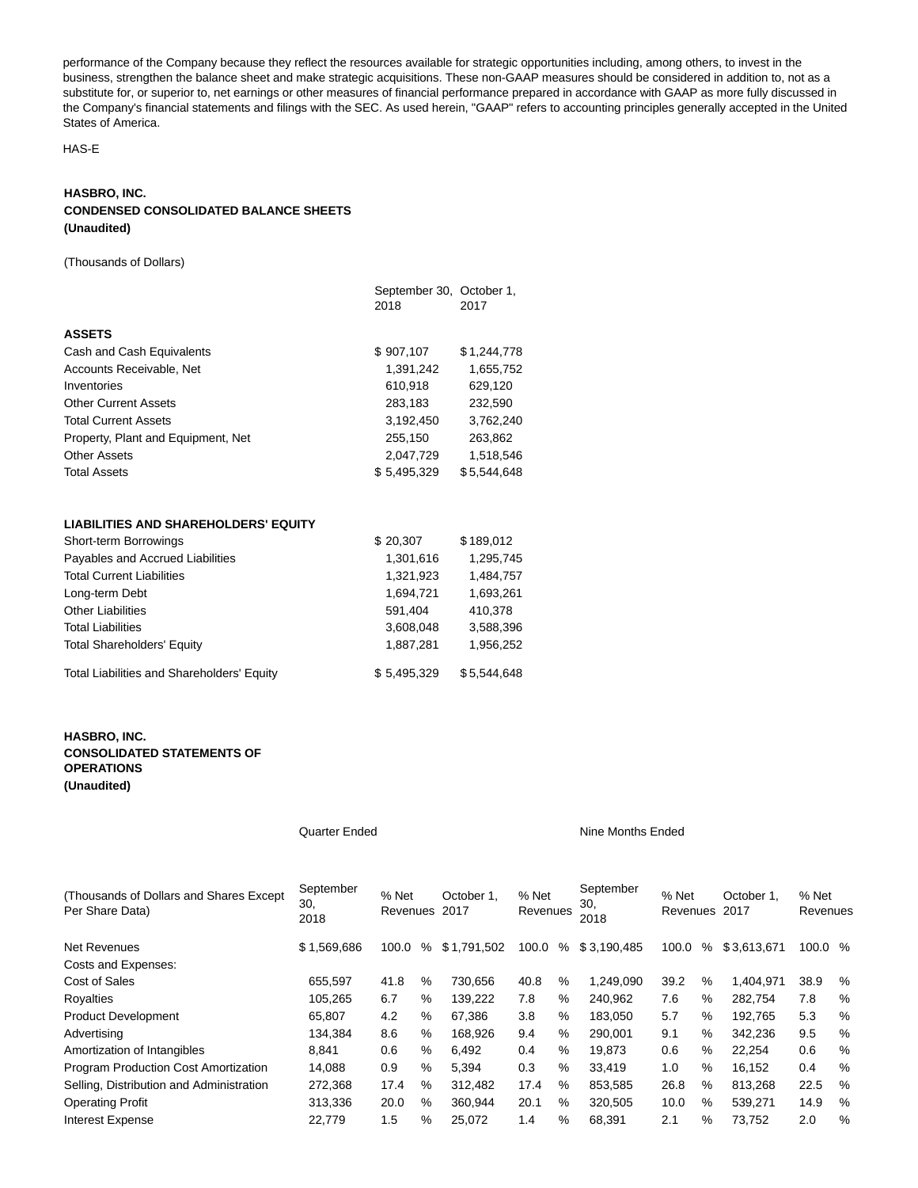performance of the Company because they reflect the resources available for strategic opportunities including, among others, to invest in the business, strengthen the balance sheet and make strategic acquisitions. These non-GAAP measures should be considered in addition to, not as a substitute for, or superior to, net earnings or other measures of financial performance prepared in accordance with GAAP as more fully discussed in the Company's financial statements and filings with the SEC. As used herein, "GAAP" refers to accounting principles generally accepted in the United States of America.

HAS-E

## **HASBRO, INC. CONDENSED CONSOLIDATED BALANCE SHEETS (Unaudited)**

(Thousands of Dollars)

|                                    | September 30, October 1,<br>2018 | 2017        |
|------------------------------------|----------------------------------|-------------|
| <b>ASSETS</b>                      |                                  |             |
| Cash and Cash Equivalents          | \$907,107                        | \$1,244,778 |
| Accounts Receivable, Net           | 1,391,242                        | 1,655,752   |
| Inventories                        | 610,918                          | 629,120     |
| <b>Other Current Assets</b>        | 283,183                          | 232.590     |
| <b>Total Current Assets</b>        | 3.192.450                        | 3.762.240   |
| Property, Plant and Equipment, Net | 255.150                          | 263.862     |
| <b>Other Assets</b>                | 2.047.729                        | 1.518.546   |
| <b>Total Assets</b>                | \$5,495,329                      | \$5,544,648 |

## **LIABILITIES AND SHAREHOLDERS' EQUITY**

| Short-term Borrowings                             | \$20,307    | \$189,012   |
|---------------------------------------------------|-------------|-------------|
| Payables and Accrued Liabilities                  | 1,301,616   | 1,295,745   |
| <b>Total Current Liabilities</b>                  | 1,321,923   | 1,484,757   |
| Long-term Debt                                    | 1.694.721   | 1,693,261   |
| <b>Other Liabilities</b>                          | 591.404     | 410.378     |
| <b>Total Liabilities</b>                          | 3,608,048   | 3,588,396   |
| <b>Total Shareholders' Equity</b>                 | 1,887,281   | 1,956,252   |
| <b>Total Liabilities and Shareholders' Equity</b> | \$5,495,329 | \$5.544.648 |

# **HASBRO, INC. CONSOLIDATED STATEMENTS OF OPERATIONS (Unaudited)**

Quarter Ended Nine Months Ended

| (Thousands of Dollars and Shares Except)<br>Per Share Data) | September<br>30,<br>2018 | % Net<br>Revenues |      | October 1.<br>2017 | % Net<br>Revenues |      | September<br>30,<br>2018 | % Net<br>Revenues |      | October 1.<br>2017 | % Net<br>Revenues |      |
|-------------------------------------------------------------|--------------------------|-------------------|------|--------------------|-------------------|------|--------------------------|-------------------|------|--------------------|-------------------|------|
| <b>Net Revenues</b>                                         | \$1,569,686              | 100.0             | %    | \$1,791,502        | 100.0             | %    | \$3,190,485              | 100.0             | %    | \$3,613,671        | 100.0 %           |      |
| Costs and Expenses:                                         |                          |                   |      |                    |                   |      |                          |                   |      |                    |                   |      |
| Cost of Sales                                               | 655.597                  | 41.8              | $\%$ | 730.656            | 40.8              | $\%$ | 1.249.090                | 39.2              | $\%$ | .404.971           | 38.9              | %    |
| Royalties                                                   | 105.265                  | 6.7               | %    | 139.222            | 7.8               | %    | 240.962                  | 7.6               | $\%$ | 282,754            | 7.8               | $\%$ |
| <b>Product Development</b>                                  | 65,807                   | 4.2               | %    | 67,386             | 3.8               | %    | 183,050                  | 5.7               | $\%$ | 192.765            | 5.3               | $\%$ |
| Advertising                                                 | 134.384                  | 8.6               | %    | 168.926            | 9.4               | %    | 290.001                  | 9.1               | $\%$ | 342.236            | 9.5               | $\%$ |
| Amortization of Intangibles                                 | 8.841                    | 0.6               | %    | 6.492              | 0.4               | %    | 19.873                   | 0.6               | $\%$ | 22.254             | 0.6               | $\%$ |
| Program Production Cost Amortization                        | 14,088                   | 0.9               | %    | 5,394              | 0.3               | %    | 33.419                   | 1.0               | $\%$ | 16,152             | 0.4               | $\%$ |
| Selling, Distribution and Administration                    | 272.368                  | 17.4              | $\%$ | 312.482            | 17.4              | $\%$ | 853.585                  | 26.8              | $\%$ | 813.268            | 22.5              | $\%$ |
| <b>Operating Profit</b>                                     | 313.336                  | 20.0              | $\%$ | 360.944            | 20.1              | %    | 320.505                  | 10.0              | $\%$ | 539.271            | 14.9              | $\%$ |
| <b>Interest Expense</b>                                     | 22.779                   | 1.5               | $\%$ | 25,072             | 1.4               | %    | 68,391                   | 2.1               | $\%$ | 73,752             | 2.0               | %    |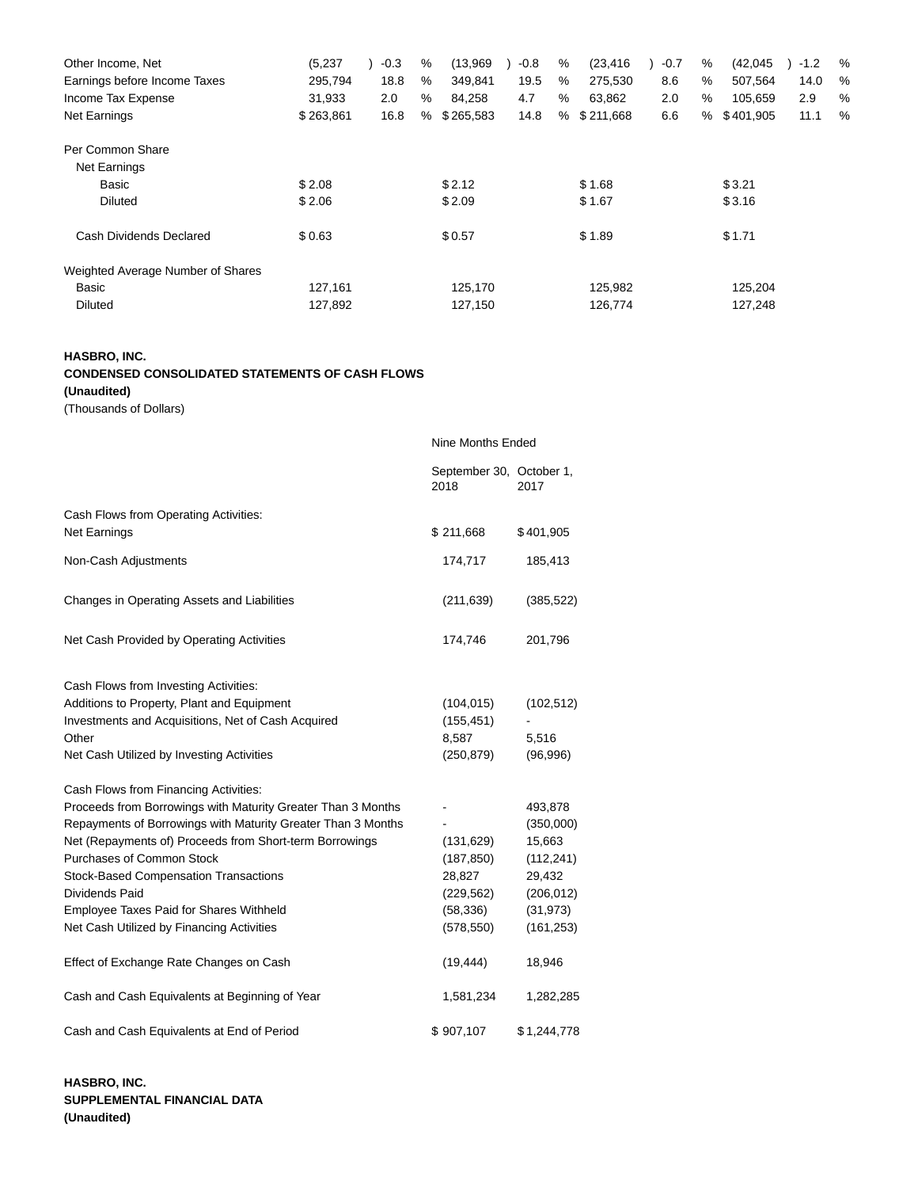| Other Income, Net                 | (5,237)   | $-0.3$ | % | (13,969)  | $-0.8$ | % | (23, 416) | $-0.7$ | % | (42, 045) | $-1.2$ | $\frac{0}{6}$ |
|-----------------------------------|-----------|--------|---|-----------|--------|---|-----------|--------|---|-----------|--------|---------------|
| Earnings before Income Taxes      | 295,794   | 18.8   | % | 349,841   | 19.5   | % | 275,530   | 8.6    | % | 507,564   | 14.0   | %             |
| Income Tax Expense                | 31,933    | 2.0    | % | 84,258    | 4.7    | % | 63,862    | 2.0    | % | 105,659   | 2.9    | %             |
| Net Earnings                      | \$263,861 | 16.8   | % | \$265,583 | 14.8   | % | \$211,668 | 6.6    | % | \$401,905 | 11.1   | $\frac{0}{6}$ |
| Per Common Share                  |           |        |   |           |        |   |           |        |   |           |        |               |
| Net Earnings                      |           |        |   |           |        |   |           |        |   |           |        |               |
| Basic                             | \$2.08    |        |   | \$2.12    |        |   | \$1.68    |        |   | \$3.21    |        |               |
| <b>Diluted</b>                    | \$2.06    |        |   | \$2.09    |        |   | \$1.67    |        |   | \$3.16    |        |               |
| Cash Dividends Declared           | \$0.63    |        |   | \$0.57    |        |   | \$1.89    |        |   | \$1.71    |        |               |
| Weighted Average Number of Shares |           |        |   |           |        |   |           |        |   |           |        |               |
| Basic                             | 127,161   |        |   | 125,170   |        |   | 125,982   |        |   | 125,204   |        |               |
| <b>Diluted</b>                    | 127,892   |        |   | 127,150   |        |   | 126,774   |        |   | 127,248   |        |               |

# **HASBRO, INC. CONDENSED CONSOLIDATED STATEMENTS OF CASH FLOWS**

**(Unaudited)**

(Thousands of Dollars)

|                                                              | Nine Months Ended                |             |  |  |  |
|--------------------------------------------------------------|----------------------------------|-------------|--|--|--|
|                                                              | September 30, October 1,<br>2018 | 2017        |  |  |  |
| Cash Flows from Operating Activities:<br><b>Net Earnings</b> | \$211,668                        | \$401,905   |  |  |  |
| Non-Cash Adjustments                                         | 174,717                          | 185,413     |  |  |  |
| Changes in Operating Assets and Liabilities                  | (211, 639)                       | (385, 522)  |  |  |  |
| Net Cash Provided by Operating Activities                    | 174,746                          | 201,796     |  |  |  |
| Cash Flows from Investing Activities:                        |                                  |             |  |  |  |
| Additions to Property, Plant and Equipment                   | (104, 015)                       | (102, 512)  |  |  |  |
| Investments and Acquisitions, Net of Cash Acquired           | (155, 451)                       |             |  |  |  |
| Other                                                        | 8,587                            | 5,516       |  |  |  |
| Net Cash Utilized by Investing Activities                    | (250, 879)                       | (96,996)    |  |  |  |
| Cash Flows from Financing Activities:                        |                                  |             |  |  |  |
| Proceeds from Borrowings with Maturity Greater Than 3 Months |                                  | 493,878     |  |  |  |
| Repayments of Borrowings with Maturity Greater Than 3 Months |                                  | (350,000)   |  |  |  |
| Net (Repayments of) Proceeds from Short-term Borrowings      | (131, 629)                       | 15,663      |  |  |  |
| Purchases of Common Stock                                    | (187, 850)                       | (112, 241)  |  |  |  |
| <b>Stock-Based Compensation Transactions</b>                 | 28,827                           | 29,432      |  |  |  |
| <b>Dividends Paid</b>                                        | (229, 562)                       | (206, 012)  |  |  |  |
| Employee Taxes Paid for Shares Withheld                      | (58, 336)                        | (31, 973)   |  |  |  |
| Net Cash Utilized by Financing Activities                    | (578, 550)                       | (161, 253)  |  |  |  |
| Effect of Exchange Rate Changes on Cash                      | (19, 444)                        | 18,946      |  |  |  |
| Cash and Cash Equivalents at Beginning of Year               | 1,581,234                        | 1,282,285   |  |  |  |
| Cash and Cash Equivalents at End of Period                   | \$907,107                        | \$1,244,778 |  |  |  |

**HASBRO, INC. SUPPLEMENTAL FINANCIAL DATA (Unaudited)**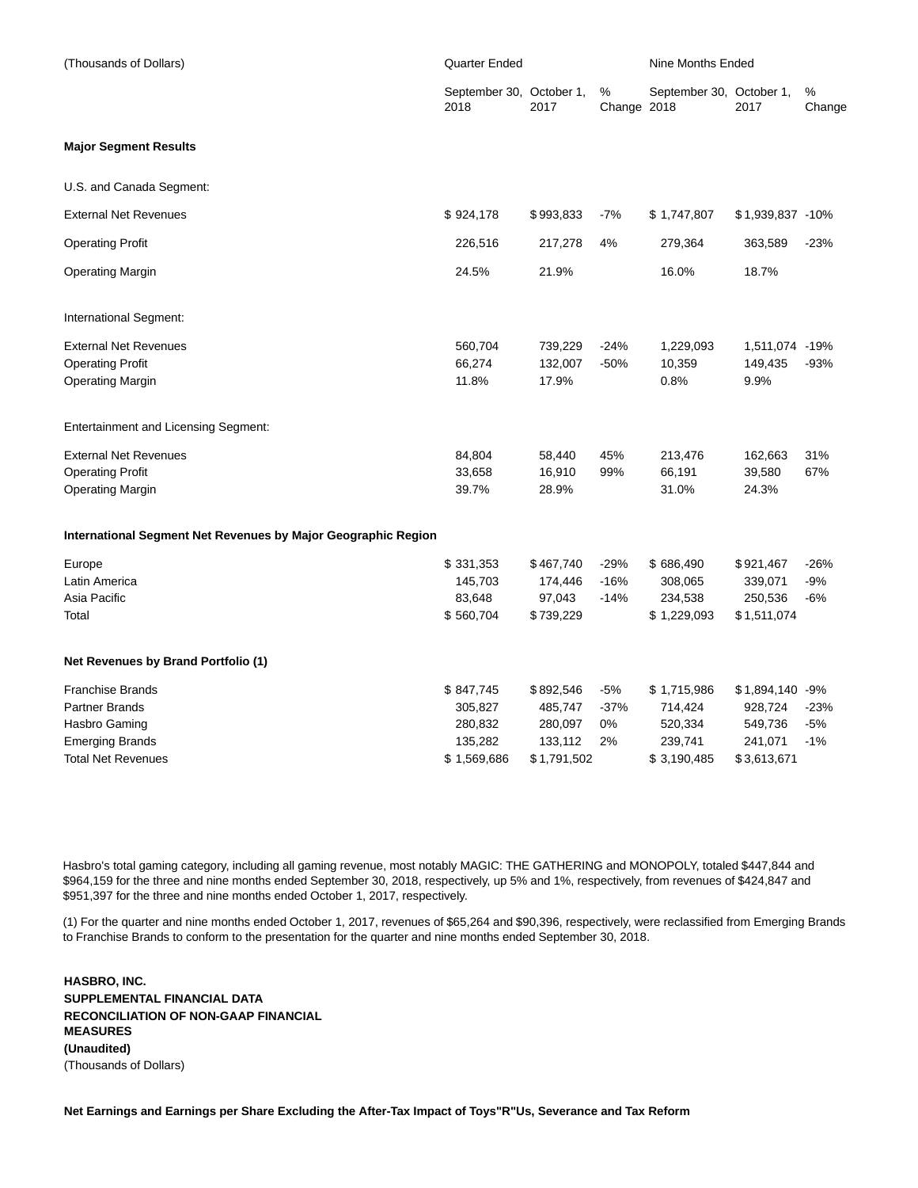| (Thousands of Dollars)                                                                                            | <b>Quarter Ended</b>                                      |                                                           |                             | Nine Months Ended                                           |                                                                 |                          |  |
|-------------------------------------------------------------------------------------------------------------------|-----------------------------------------------------------|-----------------------------------------------------------|-----------------------------|-------------------------------------------------------------|-----------------------------------------------------------------|--------------------------|--|
|                                                                                                                   | September 30, October 1,<br>2018                          | 2017                                                      | %<br>Change 2018            | September 30, October 1,                                    | 2017                                                            | %<br>Change              |  |
| <b>Major Segment Results</b>                                                                                      |                                                           |                                                           |                             |                                                             |                                                                 |                          |  |
| U.S. and Canada Segment:                                                                                          |                                                           |                                                           |                             |                                                             |                                                                 |                          |  |
| <b>External Net Revenues</b>                                                                                      | \$924,178                                                 | \$993,833                                                 | $-7%$                       | \$1,747,807                                                 | \$1,939,837 -10%                                                |                          |  |
| <b>Operating Profit</b>                                                                                           | 226,516                                                   | 217,278                                                   | 4%                          | 279,364                                                     | 363,589                                                         | $-23%$                   |  |
| Operating Margin                                                                                                  | 24.5%                                                     | 21.9%                                                     |                             | 16.0%                                                       | 18.7%                                                           |                          |  |
| International Segment:                                                                                            |                                                           |                                                           |                             |                                                             |                                                                 |                          |  |
| <b>External Net Revenues</b><br><b>Operating Profit</b><br><b>Operating Margin</b>                                | 560,704<br>66,274<br>11.8%                                | 739,229<br>132,007<br>17.9%                               | $-24%$<br>$-50%$            | 1,229,093<br>10,359<br>0.8%                                 | 1,511,074 -19%<br>149,435<br>9.9%                               | $-93%$                   |  |
| <b>Entertainment and Licensing Segment:</b>                                                                       |                                                           |                                                           |                             |                                                             |                                                                 |                          |  |
| <b>External Net Revenues</b><br><b>Operating Profit</b><br><b>Operating Margin</b>                                | 84,804<br>33,658<br>39.7%                                 | 58,440<br>16,910<br>28.9%                                 | 45%<br>99%                  | 213,476<br>66,191<br>31.0%                                  | 162,663<br>39,580<br>24.3%                                      | 31%<br>67%               |  |
| International Segment Net Revenues by Major Geographic Region                                                     |                                                           |                                                           |                             |                                                             |                                                                 |                          |  |
| Europe<br>Latin America<br>Asia Pacific<br>Total                                                                  | \$331,353<br>145,703<br>83,648<br>\$560,704               | \$467,740<br>174,446<br>97,043<br>\$739,229               | $-29%$<br>$-16%$<br>$-14%$  | \$686,490<br>308,065<br>234,538<br>\$1,229,093              | \$921,467<br>339,071<br>250,536<br>\$1,511,074                  | $-26%$<br>$-9%$<br>$-6%$ |  |
| Net Revenues by Brand Portfolio (1)                                                                               |                                                           |                                                           |                             |                                                             |                                                                 |                          |  |
| <b>Franchise Brands</b><br>Partner Brands<br>Hasbro Gaming<br><b>Emerging Brands</b><br><b>Total Net Revenues</b> | \$847,745<br>305,827<br>280,832<br>135,282<br>\$1,569,686 | \$892,546<br>485,747<br>280,097<br>133,112<br>\$1,791,502 | $-5%$<br>$-37%$<br>0%<br>2% | \$1,715,986<br>714,424<br>520,334<br>239,741<br>\$3,190,485 | \$1,894,140 -9%<br>928,724<br>549,736<br>241,071<br>\$3,613,671 | $-23%$<br>$-5%$<br>$-1%$ |  |

Hasbro's total gaming category, including all gaming revenue, most notably MAGIC: THE GATHERING and MONOPOLY, totaled \$447,844 and \$964,159 for the three and nine months ended September 30, 2018, respectively, up 5% and 1%, respectively, from revenues of \$424,847 and \$951,397 for the three and nine months ended October 1, 2017, respectively.

(1) For the quarter and nine months ended October 1, 2017, revenues of \$65,264 and \$90,396, respectively, were reclassified from Emerging Brands to Franchise Brands to conform to the presentation for the quarter and nine months ended September 30, 2018.

**HASBRO, INC. SUPPLEMENTAL FINANCIAL DATA RECONCILIATION OF NON-GAAP FINANCIAL MEASURES (Unaudited)** (Thousands of Dollars)

**Net Earnings and Earnings per Share Excluding the After-Tax Impact of Toys"R"Us, Severance and Tax Reform**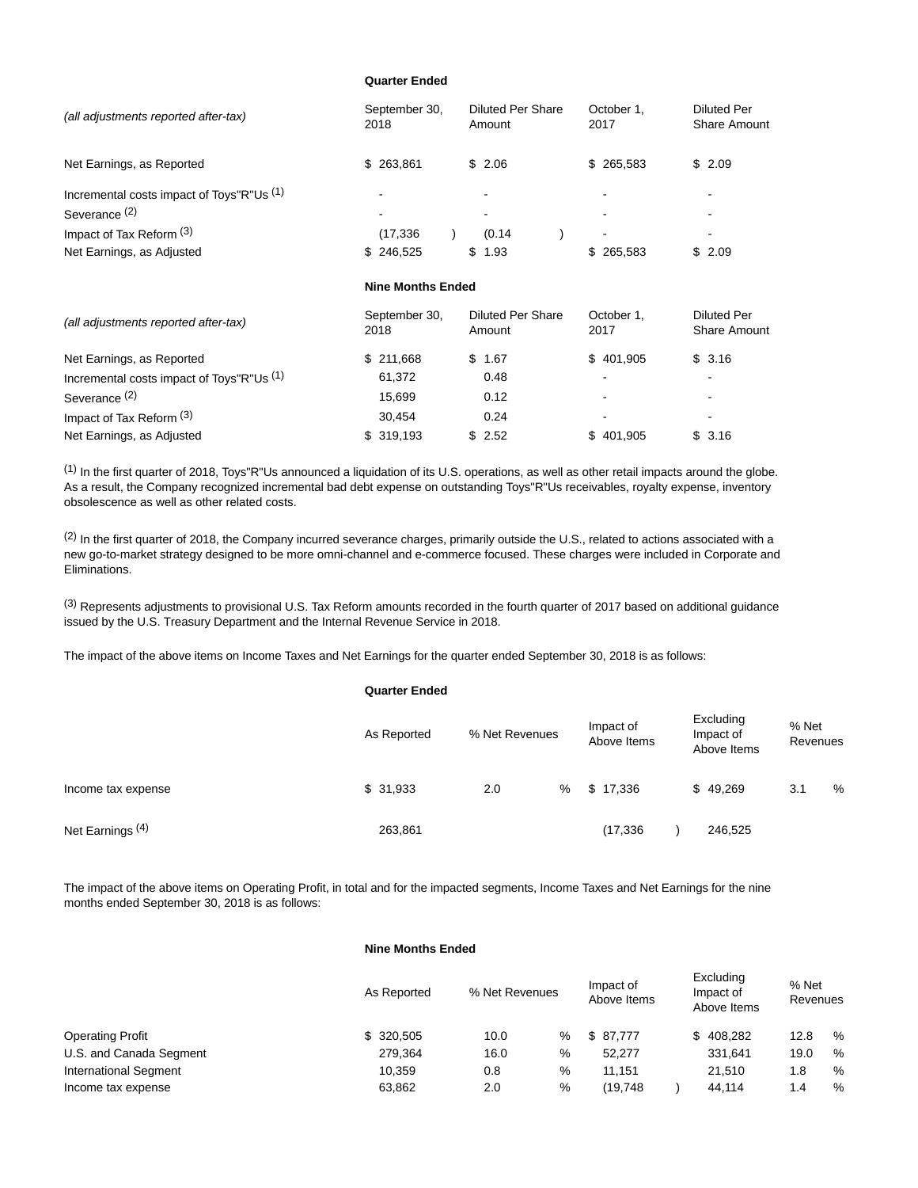### **Quarter Ended**

| (all adjustments reported after-tax)      | September 30,<br>2018    | <b>Diluted Per Share</b><br>Amount | October 1,<br>2017 | <b>Diluted Per</b><br><b>Share Amount</b> |
|-------------------------------------------|--------------------------|------------------------------------|--------------------|-------------------------------------------|
| Net Earnings, as Reported                 | 263,861<br>\$            | \$2.06                             | \$265,583          | \$2.09                                    |
| Incremental costs impact of Toys"R"Us (1) |                          |                                    |                    |                                           |
| Severance <sup>(2)</sup>                  |                          |                                    |                    |                                           |
| Impact of Tax Reform (3)                  | (17, 336)                | (0.14)                             |                    |                                           |
| Net Earnings, as Adjusted                 | 246,525<br>\$            | \$<br>1.93                         | \$265,583          | \$2.09                                    |
|                                           | <b>Nine Months Ended</b> |                                    |                    |                                           |
| (all adjustments reported after-tax)      | September 30,<br>2018    | <b>Diluted Per Share</b><br>Amount | October 1,<br>2017 | <b>Diluted Per</b><br><b>Share Amount</b> |
| Net Earnings, as Reported                 | \$211,668                | \$1.67                             | \$401,905          | \$3.16                                    |
| Incremental costs impact of Toys"R"Us (1) | 61,372                   | 0.48                               |                    |                                           |
| Severance <sup>(2)</sup>                  | 15,699                   | 0.12                               |                    |                                           |
| Impact of Tax Reform (3)                  | 30,454                   | 0.24                               |                    |                                           |

 $<sup>(1)</sup>$  In the first quarter of 2018, Toys"R"Us announced a liquidation of its U.S. operations, as well as other retail impacts around the globe.</sup> As a result, the Company recognized incremental bad debt expense on outstanding Toys"R"Us receivables, royalty expense, inventory obsolescence as well as other related costs.

Net Earnings, as Adjusted **5 319,193** \$ 2.52 \$ 401,905 \$ 3.16

(2) In the first quarter of 2018, the Company incurred severance charges, primarily outside the U.S., related to actions associated with a new go-to-market strategy designed to be more omni-channel and e-commerce focused. These charges were included in Corporate and Eliminations.

 $<sup>(3)</sup>$  Represents adjustments to provisional U.S. Tax Reform amounts recorded in the fourth quarter of 2017 based on additional guidance</sup> issued by the U.S. Treasury Department and the Internal Revenue Service in 2018.

The impact of the above items on Income Taxes and Net Earnings for the quarter ended September 30, 2018 is as follows:

|                             | <b>Quarter Ended</b> |                |   |                          |                                       |                   |   |
|-----------------------------|----------------------|----------------|---|--------------------------|---------------------------------------|-------------------|---|
|                             | As Reported          | % Net Revenues |   | Impact of<br>Above Items | Excluding<br>Impact of<br>Above Items | % Net<br>Revenues |   |
| Income tax expense          | \$31,933             | 2.0            | % | \$17,336                 | \$49,269                              | 3.1               | % |
| Net Earnings <sup>(4)</sup> | 263,861              |                |   | (17, 336)                | 246,525                               |                   |   |

The impact of the above items on Operating Profit, in total and for the impacted segments, Income Taxes and Net Earnings for the nine months ended September 30, 2018 is as follows:

# **Nine Months Ended**

|                              | As Reported | % Net Revenues |      | Impact of<br>Above Items | Excluding<br>Impact of<br>Above Items | % Net<br>Revenues |   |
|------------------------------|-------------|----------------|------|--------------------------|---------------------------------------|-------------------|---|
| <b>Operating Profit</b>      | \$ 320,505  | 10.0           | $\%$ | \$ 87.777                | \$408.282                             | 12.8              | % |
| U.S. and Canada Segment      | 279.364     | 16.0           | %    | 52.277                   | 331.641                               | 19.0              | % |
| <b>International Segment</b> | 10.359      | 0.8            | %    | 11.151                   | 21.510                                | 1.8               | % |
| Income tax expense           | 63,862      | 2.0            | %    | (19.748                  | 44.114                                | 1.4               | % |
|                              |             |                |      |                          |                                       |                   |   |

 $E = E \cdot \vec{E}$